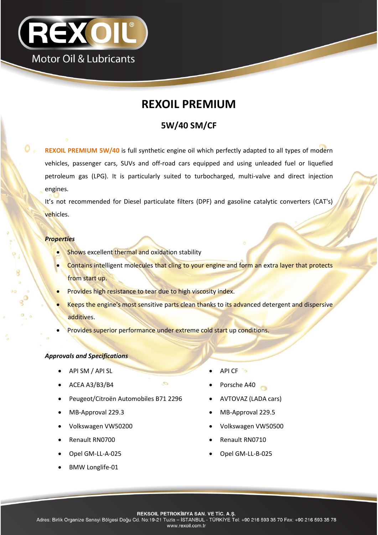

# **REXOIL PREMIUM**

## **5W/40 SM/CF**

**REXOIL PREMIUM 5W/40** is full synthetic engine oil which perfectly adapted to all types of modern vehicles, passenger cars, SUVs and off-road cars equipped and using unleaded fuel or liquefied petroleum gas (LPG). It is particularly suited to turbocharged, multi-valve and direct injection engines.

It's not recommended for Diesel particulate filters (DPF) and gasoline catalytic converters (CAT's) vehicles.

#### *Properties*

- Shows excellent thermal and oxidation stability
- Contains intelligent molecules that cling to your engine and form an extra layer that protects from start up.
- Provides high resistance to tear due to high viscosity index.
- Keeps the engine's most sensitive parts clean thanks to its advanced detergent and dispersive additives.
- Provides superior performance under extreme cold start up conditions.

#### *Approvals and Specifications*

- API SM / API SL API CF
- 
- Peugeot/Citroën Automobiles B71 2296 AVTOVAZ (LADA cars)
- 
- 
- 
- 
- BMW Longlife-01
- 
- ACEA A3/B3/B4 Porsche A40
	-
- MB-Approval 229.3 MB-Approval 229.5
- Volkswagen VW50200 **Volkswagen VW50500**
- Renault RN0700 **Canacault RN0710 Canacault RN0710**
- Opel GM-LL-A-025 Opel GM-LL-B-025

**REKSOIL PETROKIMYA SAN. VE TIC. A.S.**